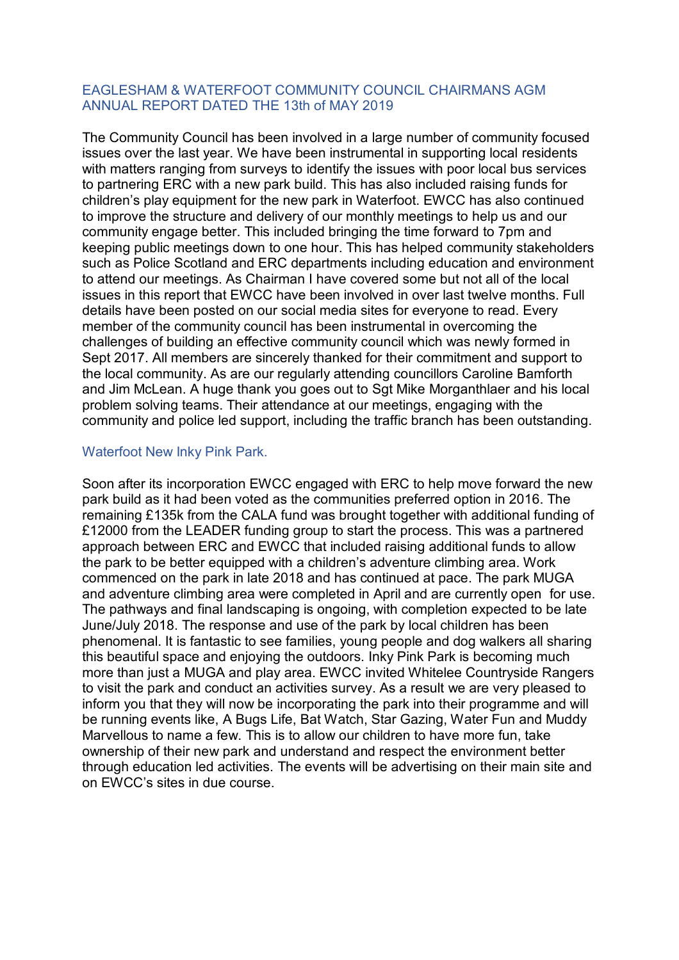### EAGLESHAM & WATERFOOT COMMUNITY COUNCIL CHAIRMANS AGM ANNUAL REPORT DATED THE 13th of MAY 2019

The Community Council has been involved in a large number of community focused issues over the last year. We have been instrumental in supporting local residents with matters ranging from surveys to identify the issues with poor local bus services to partnering ERC with a new park build. This has also included raising funds for children's play equipment for the new park in Waterfoot. EWCC has also continued to improve the structure and delivery of our monthly meetings to help us and our community engage better. This included bringing the time forward to 7pm and keeping public meetings down to one hour. This has helped community stakeholders such as Police Scotland and ERC departments including education and environment to attend our meetings. As Chairman I have covered some but not all of the local issues in this report that EWCC have been involved in over last twelve months. Full details have been posted on our social media sites for everyone to read. Every member of the community council has been instrumental in overcoming the challenges of building an effective community council which was newly formed in Sept 2017. All members are sincerely thanked for their commitment and support to the local community. As are our regularly attending councillors Caroline Bamforth and Jim McLean. A huge thank you goes out to Sgt Mike Morganthlaer and his local problem solving teams. Their attendance at our meetings, engaging with the community and police led support, including the traffic branch has been outstanding.

#### Waterfoot New Inky Pink Park.

Soon after its incorporation EWCC engaged with ERC to help move forward the new park build as it had been voted as the communities preferred option in 2016. The remaining £135k from the CALA fund was brought together with additional funding of £12000 from the LEADER funding group to start the process. This was a partnered approach between ERC and EWCC that included raising additional funds to allow the park to be better equipped with a children's adventure climbing area. Work commenced on the park in late 2018 and has continued at pace. The park MUGA and adventure climbing area were completed in April and are currently open for use. The pathways and final landscaping is ongoing, with completion expected to be late June/July 2018. The response and use of the park by local children has been phenomenal. It is fantastic to see families, young people and dog walkers all sharing this beautiful space and enjoying the outdoors. Inky Pink Park is becoming much more than just a MUGA and play area. EWCC invited Whitelee Countryside Rangers to visit the park and conduct an activities survey. As a result we are very pleased to inform you that they will now be incorporating the park into their programme and will be running events like, A Bugs Life, Bat Watch, Star Gazing, Water Fun and Muddy Marvellous to name a few. This is to allow our children to have more fun, take ownership of their new park and understand and respect the environment better through education led activities. The events will be advertising on their main site and on EWCC's sites in due course.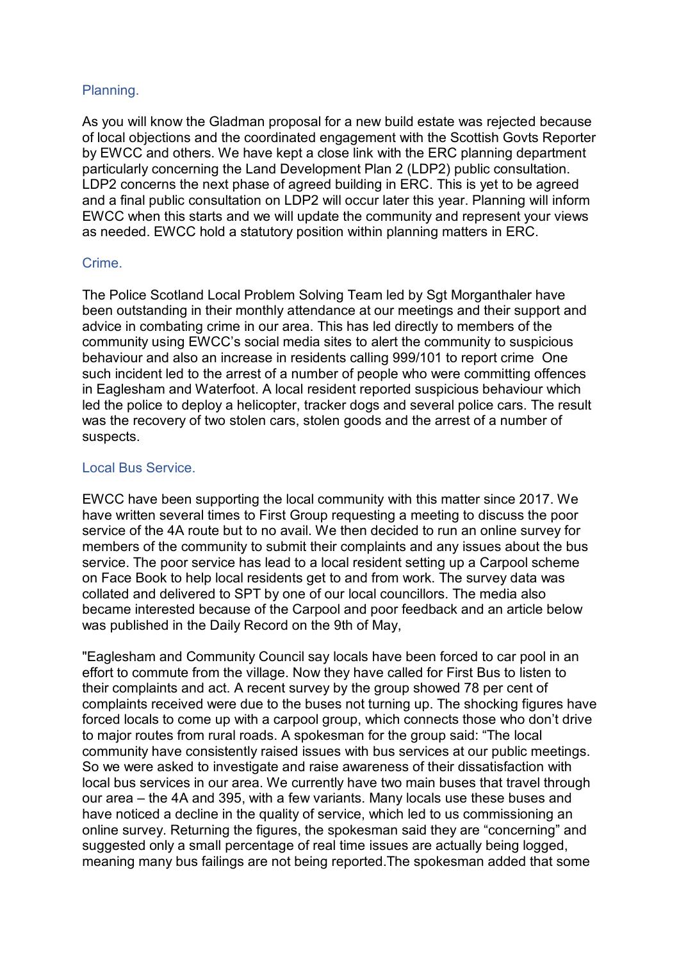# Planning.

As you will know the Gladman proposal for a new build estate was rejected because of local objections and the coordinated engagement with the Scottish Govts Reporter by EWCC and others. We have kept a close link with the ERC planning department particularly concerning the Land Development Plan 2 (LDP2) public consultation. LDP2 concerns the next phase of agreed building in ERC. This is yet to be agreed and a final public consultation on LDP2 will occur later this year. Planning will inform EWCC when this starts and we will update the community and represent your views as needed. EWCC hold a statutory position within planning matters in ERC.

## Crime.

The Police Scotland Local Problem Solving Team led by Sgt Morganthaler have been outstanding in their monthly attendance at our meetings and their support and advice in combating crime in our area. This has led directly to members of the community using EWCC's social media sites to alert the community to suspicious behaviour and also an increase in residents calling 999/101 to report crime One such incident led to the arrest of a number of people who were committing offences in Eaglesham and Waterfoot. A local resident reported suspicious behaviour which led the police to deploy a helicopter, tracker dogs and several police cars. The result was the recovery of two stolen cars, stolen goods and the arrest of a number of suspects.

# Local Bus Service.

EWCC have been supporting the local community with this matter since 2017. We have written several times to First Group requesting a meeting to discuss the poor service of the 4A route but to no avail. We then decided to run an online survey for members of the community to submit their complaints and any issues about the bus service. The poor service has lead to a local resident setting up a Carpool scheme on Face Book to help local residents get to and from work. The survey data was collated and delivered to SPT by one of our local councillors. The media also became interested because of the Carpool and poor feedback and an article below was published in the Daily Record on the 9th of May,

"Eaglesham and Community Council say locals have been forced to car pool in an effort to commute from the village. Now they have called for First Bus to listen to their complaints and act. A recent survey by the group showed 78 per cent of complaints received were due to the buses not turning up. The shocking figures have forced locals to come up with a carpool group, which connects those who don't drive to major routes from rural roads. A spokesman for the group said: "The local community have consistently raised issues with bus services at our public meetings. So we were asked to investigate and raise awareness of their dissatisfaction with local bus services in our area. We currently have two main buses that travel through our area – the 4A and 395, with a few variants. Many locals use these buses and have noticed a decline in the quality of service, which led to us commissioning an online survey. Returning the figures, the spokesman said they are "concerning" and suggested only a small percentage of real time issues are actually being logged, meaning many bus failings are not being reported.The spokesman added that some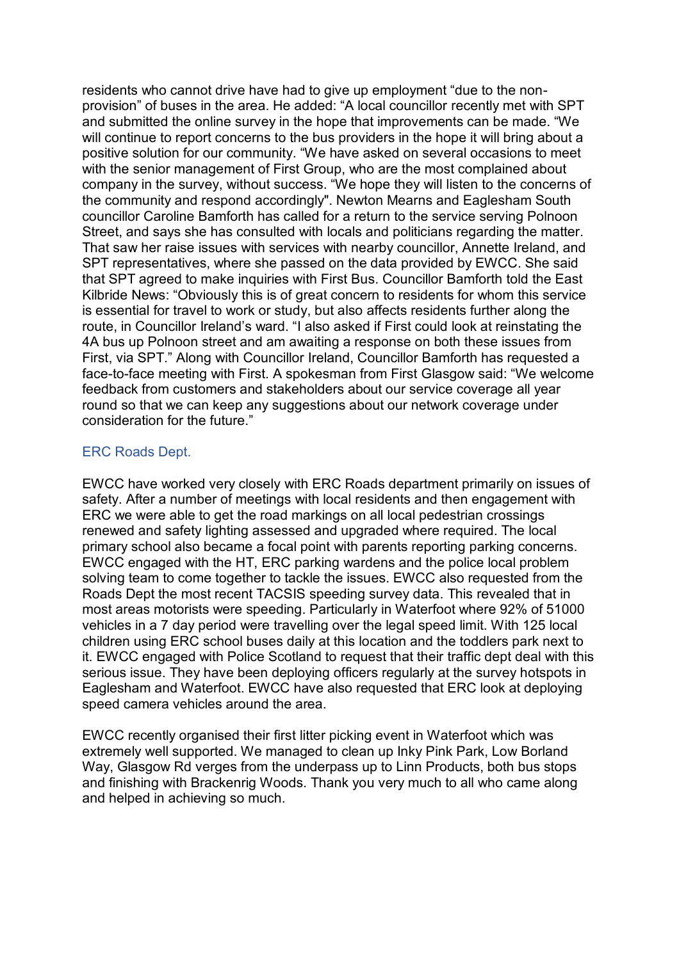residents who cannot drive have had to give up employment "due to the nonprovision" of buses in the area. He added: "A local councillor recently met with SPT and submitted the online survey in the hope that improvements can be made. "We will continue to report concerns to the bus providers in the hope it will bring about a positive solution for our community. "We have asked on several occasions to meet with the senior management of First Group, who are the most complained about company in the survey, without success. "We hope they will listen to the concerns of the community and respond accordingly". Newton Mearns and Eaglesham South councillor Caroline Bamforth has called for a return to the service serving Polnoon Street, and says she has consulted with locals and politicians regarding the matter. That saw her raise issues with services with nearby councillor, Annette Ireland, and SPT representatives, where she passed on the data provided by EWCC. She said that SPT agreed to make inquiries with First Bus. Councillor Bamforth told the East Kilbride News: "Obviously this is of great concern to residents for whom this service is essential for travel to work or study, but also affects residents further along the route, in Councillor Ireland's ward. "I also asked if First could look at reinstating the 4A bus up Polnoon street and am awaiting a response on both these issues from First, via SPT." Along with Councillor Ireland, Councillor Bamforth has requested a face-to-face meeting with First. A spokesman from First Glasgow said: "We welcome feedback from customers and stakeholders about our service coverage all year round so that we can keep any suggestions about our network coverage under consideration for the future."

### ERC Roads Dept.

EWCC have worked very closely with ERC Roads department primarily on issues of safety. After a number of meetings with local residents and then engagement with ERC we were able to get the road markings on all local pedestrian crossings renewed and safety lighting assessed and upgraded where required. The local primary school also became a focal point with parents reporting parking concerns. EWCC engaged with the HT, ERC parking wardens and the police local problem solving team to come together to tackle the issues. EWCC also requested from the Roads Dept the most recent TACSIS speeding survey data. This revealed that in most areas motorists were speeding. Particularly in Waterfoot where 92% of 51000 vehicles in a 7 day period were travelling over the legal speed limit. With 125 local children using ERC school buses daily at this location and the toddlers park next to it. EWCC engaged with Police Scotland to request that their traffic dept deal with this serious issue. They have been deploying officers regularly at the survey hotspots in Eaglesham and Waterfoot. EWCC have also requested that ERC look at deploying speed camera vehicles around the area.

EWCC recently organised their first litter picking event in Waterfoot which was extremely well supported. We managed to clean up Inky Pink Park, Low Borland Way, Glasgow Rd verges from the underpass up to Linn Products, both bus stops and finishing with Brackenrig Woods. Thank you very much to all who came along and helped in achieving so much.